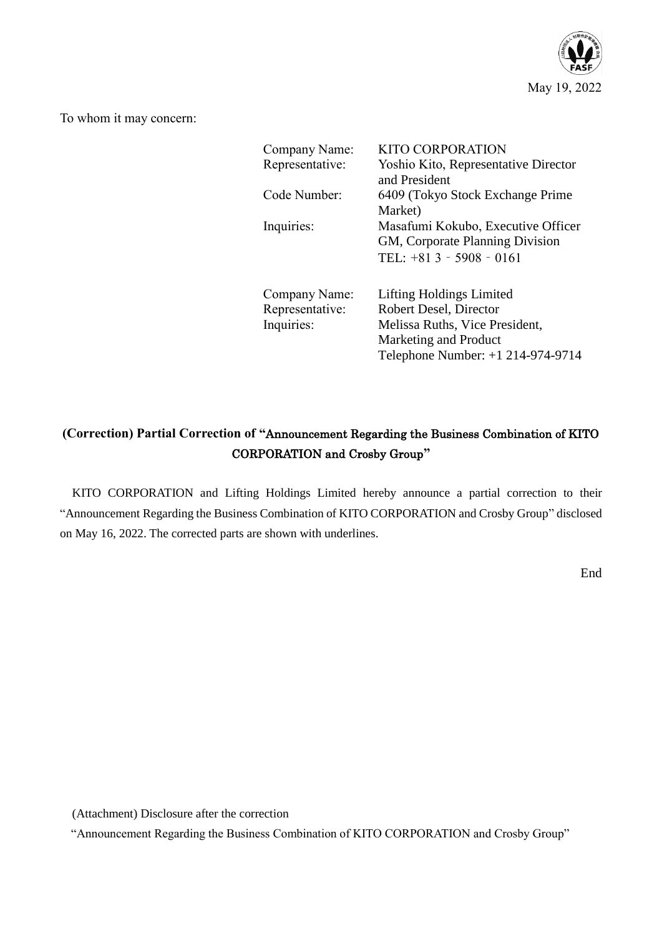

To whom it may concern:

| Company Name:<br>Representative:               | KITO CORPORATION<br>Yoshio Kito, Representative Director<br>and President                                                                          |
|------------------------------------------------|----------------------------------------------------------------------------------------------------------------------------------------------------|
| Code Number:                                   | 6409 (Tokyo Stock Exchange Prime)<br>Market)                                                                                                       |
| Inquiries:                                     | Masafumi Kokubo, Executive Officer<br>GM, Corporate Planning Division<br>TEL: $+813 - 5908 - 0161$                                                 |
| Company Name:<br>Representative:<br>Inquiries: | Lifting Holdings Limited<br>Robert Desel, Director<br>Melissa Ruths, Vice President,<br>Marketing and Product<br>Telephone Number: +1 214-974-9714 |

# **(Correction) Partial Correction of "**Announcement Regarding the Business Combination of KITO CORPORATION and Crosby Group**"**

KITO CORPORATION and Lifting Holdings Limited hereby announce a partial correction to their "Announcement Regarding the Business Combination of KITO CORPORATION and Crosby Group" disclosed on May 16, 2022. The corrected parts are shown with underlines.

End

(Attachment) Disclosure after the correction

"Announcement Regarding the Business Combination of KITO CORPORATION and Crosby Group"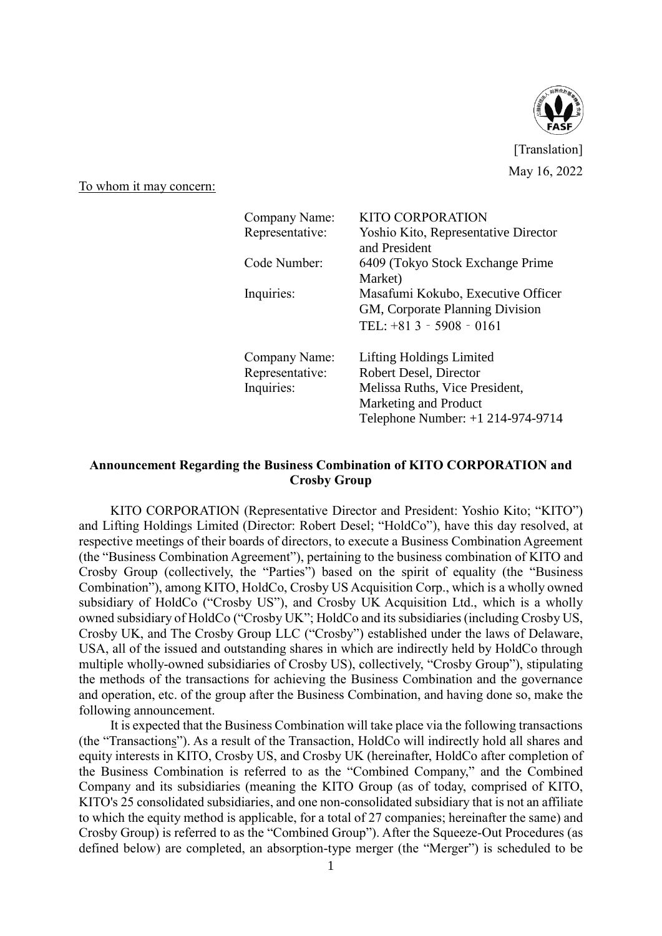

[Translation] May 16, 2022

To whom it may concern:

| Company Name:   | KITO CORPORATION                     |  |
|-----------------|--------------------------------------|--|
| Representative: | Yoshio Kito, Representative Director |  |
|                 | and President                        |  |
| Code Number:    | 6409 (Tokyo Stock Exchange Prime)    |  |
|                 | Market)                              |  |
| Inquiries:      | Masafumi Kokubo, Executive Officer   |  |
|                 | GM, Corporate Planning Division      |  |
|                 | TEL: $+813 - 5908 - 0161$            |  |
| Company Name:   | Lifting Holdings Limited             |  |
| Representative: | Robert Desel, Director               |  |
| Inquiries:      | Melissa Ruths, Vice President,       |  |
|                 | Marketing and Product                |  |
|                 | Telephone Number: +1 214-974-9714    |  |

### **Announcement Regarding the Business Combination of KITO CORPORATION and Crosby Group**

KITO CORPORATION (Representative Director and President: Yoshio Kito; "KITO") and Lifting Holdings Limited (Director: Robert Desel; "HoldCo"), have this day resolved, at respective meetings of their boards of directors, to execute a Business Combination Agreement (the "Business Combination Agreement"), pertaining to the business combination of KITO and Crosby Group (collectively, the "Parties") based on the spirit of equality (the "Business Combination"), among KITO, HoldCo, Crosby US Acquisition Corp., which is a wholly owned subsidiary of HoldCo ("Crosby US"), and Crosby UK Acquisition Ltd., which is a wholly owned subsidiary of HoldCo ("Crosby UK"; HoldCo and its subsidiaries (including Crosby US, Crosby UK, and The Crosby Group LLC ("Crosby") established under the laws of Delaware, USA, all of the issued and outstanding shares in which are indirectly held by HoldCo through multiple wholly-owned subsidiaries of Crosby US), collectively, "Crosby Group"), stipulating the methods of the transactions for achieving the Business Combination and the governance and operation, etc. of the group after the Business Combination, and having done so, make the following announcement.

It is expected that the Business Combination will take place via the following transactions (the "Transactions"). As a result of the Transaction, HoldCo will indirectly hold all shares and equity interests in KITO, Crosby US, and Crosby UK (hereinafter, HoldCo after completion of the Business Combination is referred to as the "Combined Company," and the Combined Company and its subsidiaries (meaning the KITO Group (as of today, comprised of KITO, KITO's 25 consolidated subsidiaries, and one non-consolidated subsidiary that is not an affiliate to which the equity method is applicable, for a total of 27 companies; hereinafter the same) and Crosby Group) is referred to as the "Combined Group"). After the Squeeze-Out Procedures (as defined below) are completed, an absorption-type merger (the "Merger") is scheduled to be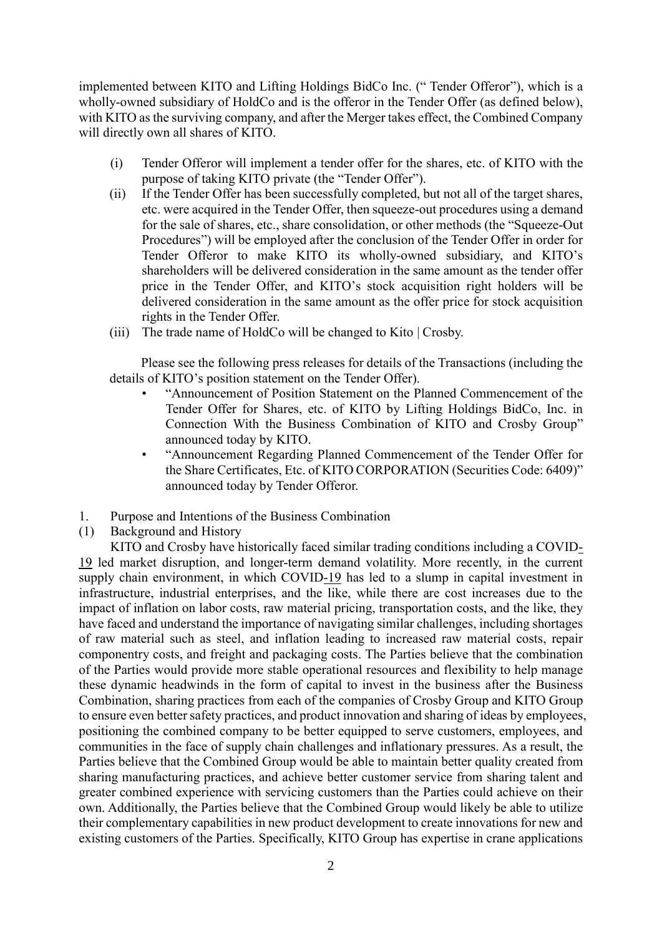implemented between KITO and Lifting Holdings BidCo Inc. (" Tender Offeror"), which is a wholly-owned subsidiary of HoldCo and is the offeror in the Tender Offer (as defined below), with KITO as the surviving company, and after the Merger takes effect, the Combined Company will directly own all shares of KITO.

- (i) Tender Offeror will implement a tender offer for the shares, etc. of KITO with the purpose of taking KITO private (the "Tender Offer").
- (ii) If the Tender Offer has been successfully completed, but not all of the target shares, etc. were acquired in the Tender Offer, then squeeze-out procedures using a demand for the sale of shares, etc., share consolidation, or other methods (the "Squeeze-Out Procedures") will be employed after the conclusion of the Tender Offer in order for Tender Offeror to make KITO its wholly-owned subsidiary, and KITO's shareholders will be delivered consideration in the same amount as the tender offer price in the Tender Offer, and KITO's stock acquisition right holders will be delivered consideration in the same amount as the offer price for stock acquisition rights in the Tender Offer.
- (iii) The trade name of HoldCo will be changed to Kito | Crosby.

Please see the following press releases for details of the Transactions (including the details of KITO's position statement on the Tender Offer).

- "Announcement of Position Statement on the Planned Commencement of the Tender Offer for Shares, etc. of KITO by Lifting Holdings BidCo, Inc. in Connection With the Business Combination of KITO and Crosby Group" announced today by KITO.
- "Announcement Regarding Planned Commencement of the Tender Offer for the Share Certificates, Etc. of KITO CORPORATION (Securities Code: 6409)" announced today by Tender Offeror.
- 1. Purpose and Intentions of the Business Combination
- (1) Background and History

KITO and Crosby have historically faced similar trading conditions including a COVID-19 led market disruption, and longer-term demand volatility. More recently, in the current supply chain environment, in which COVID-19 has led to a slump in capital investment in infrastructure, industrial enterprises, and the like, while there are cost increases due to the impact of inflation on labor costs, raw material pricing, transportation costs, and the like, they have faced and understand the importance of navigating similar challenges, including shortages of raw material such as steel, and inflation leading to increased raw material costs, repair componentry costs, and freight and packaging costs. The Parties believe that the combination of the Parties would provide more stable operational resources and flexibility to help manage these dynamic headwinds in the form of capital to invest in the business after the Business Combination, sharing practices from each of the companies of Crosby Group and KITO Group to ensure even better safety practices, and product innovation and sharing of ideas by employees, positioning the combined company to be better equipped to serve customers, employees, and communities in the face of supply chain challenges and inflationary pressures. As a result, the Parties believe that the Combined Group would be able to maintain better quality created from sharing manufacturing practices, and achieve better customer service from sharing talent and greater combined experience with servicing customers than the Parties could achieve on their own. Additionally, the Parties believe that the Combined Group would likely be able to utilize their complementary capabilities in new product development to create innovations for new and existing customers of the Parties. Specifically, KITO Group has expertise in crane applications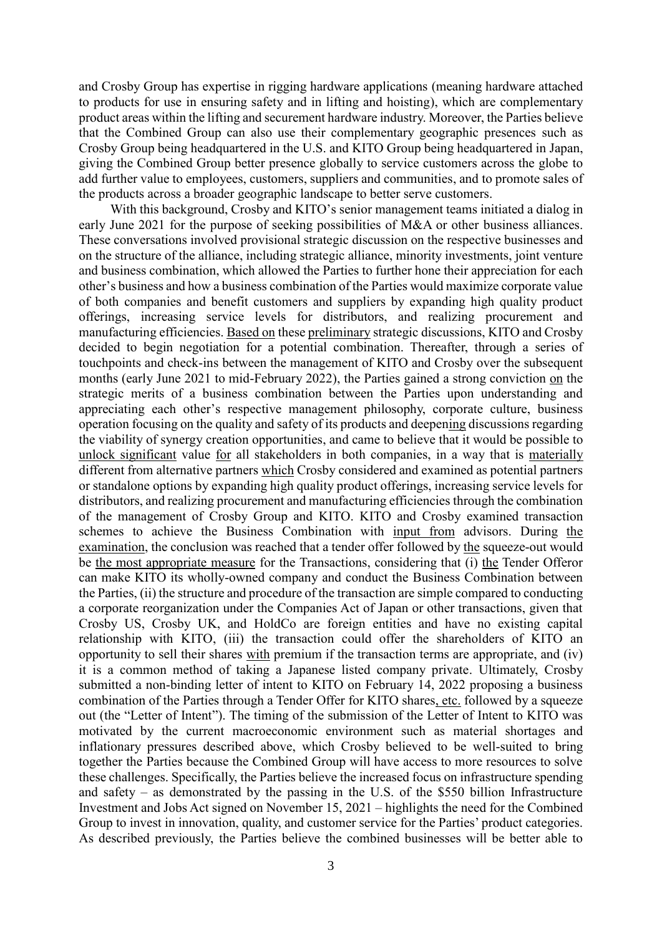and Crosby Group has expertise in rigging hardware applications (meaning hardware attached to products for use in ensuring safety and in lifting and hoisting), which are complementary product areas within the lifting and securement hardware industry. Moreover, the Parties believe that the Combined Group can also use their complementary geographic presences such as Crosby Group being headquartered in the U.S. and KITO Group being headquartered in Japan, giving the Combined Group better presence globally to service customers across the globe to add further value to employees, customers, suppliers and communities, and to promote sales of the products across a broader geographic landscape to better serve customers.

With this background, Crosby and KITO's senior management teams initiated a dialog in early June 2021 for the purpose of seeking possibilities of M&A or other business alliances. These conversations involved provisional strategic discussion on the respective businesses and on the structure of the alliance, including strategic alliance, minority investments, joint venture and business combination, which allowed the Parties to further hone their appreciation for each other's business and how a business combination of the Parties would maximize corporate value of both companies and benefit customers and suppliers by expanding high quality product offerings, increasing service levels for distributors, and realizing procurement and manufacturing efficiencies. Based on these preliminary strategic discussions, KITO and Crosby decided to begin negotiation for a potential combination. Thereafter, through a series of touchpoints and check-ins between the management of KITO and Crosby over the subsequent months (early June 2021 to mid-February 2022), the Parties gained a strong conviction on the strategic merits of a business combination between the Parties upon understanding and appreciating each other's respective management philosophy, corporate culture, business operation focusing on the quality and safety of its products and deepening discussions regarding the viability of synergy creation opportunities, and came to believe that it would be possible to unlock significant value for all stakeholders in both companies, in a way that is materially different from alternative partners which Crosby considered and examined as potential partners or standalone options by expanding high quality product offerings, increasing service levels for distributors, and realizing procurement and manufacturing efficiencies through the combination of the management of Crosby Group and KITO. KITO and Crosby examined transaction schemes to achieve the Business Combination with input from advisors. During the examination, the conclusion was reached that a tender offer followed by the squeeze-out would be the most appropriate measure for the Transactions, considering that (i) the Tender Offeror can make KITO its wholly-owned company and conduct the Business Combination between the Parties, (ii) the structure and procedure of the transaction are simple compared to conducting a corporate reorganization under the Companies Act of Japan or other transactions, given that Crosby US, Crosby UK, and HoldCo are foreign entities and have no existing capital relationship with KITO, (iii) the transaction could offer the shareholders of KITO an opportunity to sell their shares with premium if the transaction terms are appropriate, and (iv) it is a common method of taking a Japanese listed company private. Ultimately, Crosby submitted a non-binding letter of intent to KITO on February 14, 2022 proposing a business combination of the Parties through a Tender Offer for KITO shares, etc. followed by a squeeze out (the "Letter of Intent"). The timing of the submission of the Letter of Intent to KITO was motivated by the current macroeconomic environment such as material shortages and inflationary pressures described above, which Crosby believed to be well-suited to bring together the Parties because the Combined Group will have access to more resources to solve these challenges. Specifically, the Parties believe the increased focus on infrastructure spending and safety – as demonstrated by the passing in the U.S. of the \$550 billion Infrastructure Investment and Jobs Act signed on November 15, 2021 – highlights the need for the Combined Group to invest in innovation, quality, and customer service for the Parties' product categories. As described previously, the Parties believe the combined businesses will be better able to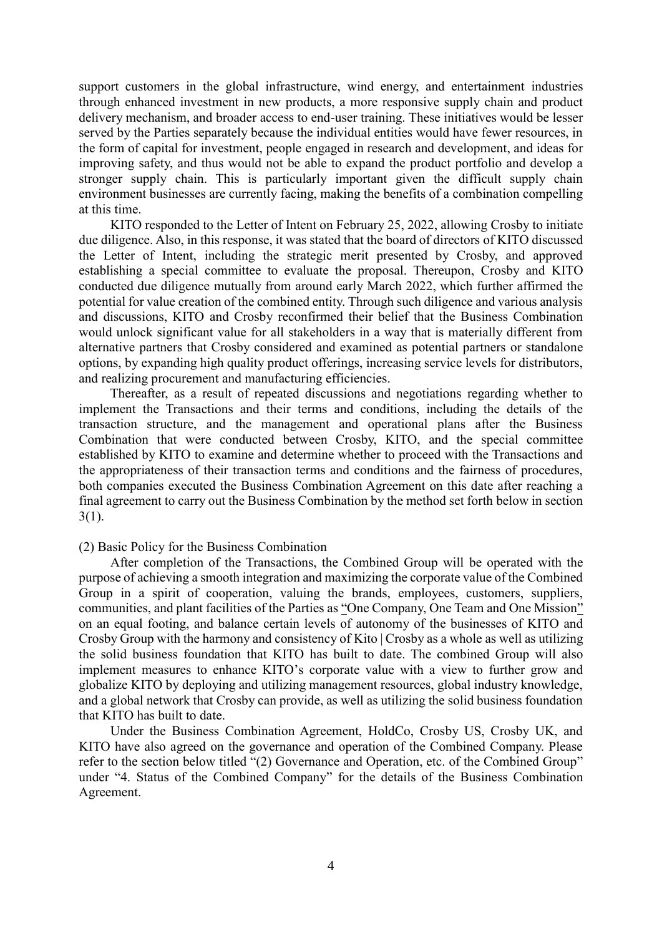support customers in the global infrastructure, wind energy, and entertainment industries through enhanced investment in new products, a more responsive supply chain and product delivery mechanism, and broader access to end-user training. These initiatives would be lesser served by the Parties separately because the individual entities would have fewer resources, in the form of capital for investment, people engaged in research and development, and ideas for improving safety, and thus would not be able to expand the product portfolio and develop a stronger supply chain. This is particularly important given the difficult supply chain environment businesses are currently facing, making the benefits of a combination compelling at this time.

KITO responded to the Letter of Intent on February 25, 2022, allowing Crosby to initiate due diligence. Also, in this response, it was stated that the board of directors of KITO discussed the Letter of Intent, including the strategic merit presented by Crosby, and approved establishing a special committee to evaluate the proposal. Thereupon, Crosby and KITO conducted due diligence mutually from around early March 2022, which further affirmed the potential for value creation of the combined entity. Through such diligence and various analysis and discussions, KITO and Crosby reconfirmed their belief that the Business Combination would unlock significant value for all stakeholders in a way that is materially different from alternative partners that Crosby considered and examined as potential partners or standalone options, by expanding high quality product offerings, increasing service levels for distributors, and realizing procurement and manufacturing efficiencies.

Thereafter, as a result of repeated discussions and negotiations regarding whether to implement the Transactions and their terms and conditions, including the details of the transaction structure, and the management and operational plans after the Business Combination that were conducted between Crosby, KITO, and the special committee established by KITO to examine and determine whether to proceed with the Transactions and the appropriateness of their transaction terms and conditions and the fairness of procedures, both companies executed the Business Combination Agreement on this date after reaching a final agreement to carry out the Business Combination by the method set forth below in section  $3(1)$ .

#### (2) Basic Policy for the Business Combination

After completion of the Transactions, the Combined Group will be operated with the purpose of achieving a smooth integration and maximizing the corporate value of the Combined Group in a spirit of cooperation, valuing the brands, employees, customers, suppliers, communities, and plant facilities of the Parties as "One Company, One Team and One Mission" on an equal footing, and balance certain levels of autonomy of the businesses of KITO and Crosby Group with the harmony and consistency of Kito | Crosby as a whole as well as utilizing the solid business foundation that KITO has built to date. The combined Group will also implement measures to enhance KITO's corporate value with a view to further grow and globalize KITO by deploying and utilizing management resources, global industry knowledge, and a global network that Crosby can provide, as well as utilizing the solid business foundation that KITO has built to date.

Under the Business Combination Agreement, HoldCo, Crosby US, Crosby UK, and KITO have also agreed on the governance and operation of the Combined Company. Please refer to the section below titled "(2) Governance and Operation, etc. of the Combined Group" under "4. Status of the Combined Company" for the details of the Business Combination Agreement.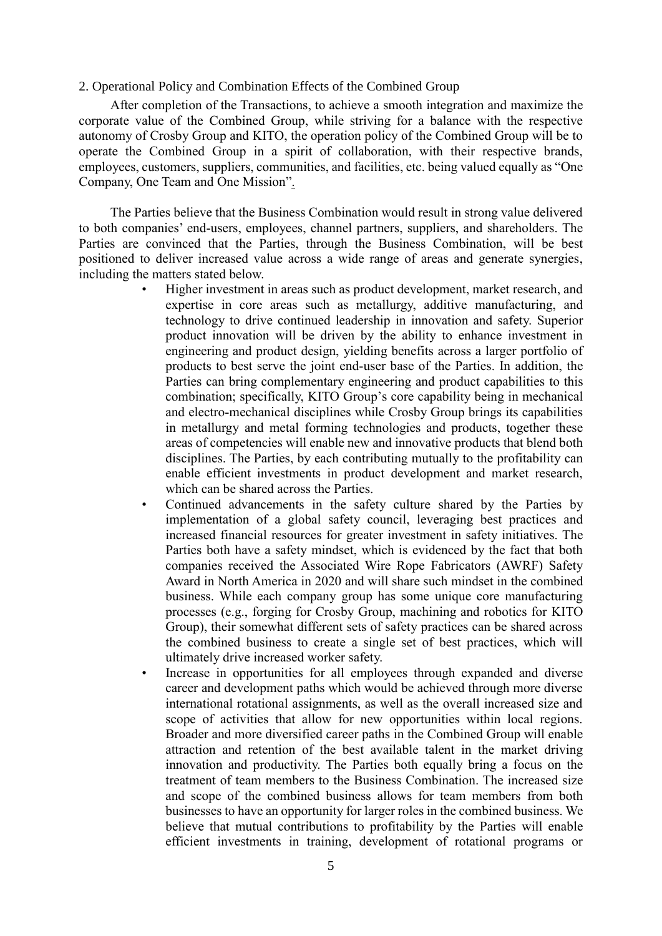#### 2. Operational Policy and Combination Effects of the Combined Group

After completion of the Transactions, to achieve a smooth integration and maximize the corporate value of the Combined Group, while striving for a balance with the respective autonomy of Crosby Group and KITO, the operation policy of the Combined Group will be to operate the Combined Group in a spirit of collaboration, with their respective brands, employees, customers, suppliers, communities, and facilities, etc. being valued equally as "One Company, One Team and One Mission".

The Parties believe that the Business Combination would result in strong value delivered to both companies' end-users, employees, channel partners, suppliers, and shareholders. The Parties are convinced that the Parties, through the Business Combination, will be best positioned to deliver increased value across a wide range of areas and generate synergies, including the matters stated below.

- Higher investment in areas such as product development, market research, and expertise in core areas such as metallurgy, additive manufacturing, and technology to drive continued leadership in innovation and safety. Superior product innovation will be driven by the ability to enhance investment in engineering and product design, yielding benefits across a larger portfolio of products to best serve the joint end-user base of the Parties. In addition, the Parties can bring complementary engineering and product capabilities to this combination; specifically, KITO Group's core capability being in mechanical and electro-mechanical disciplines while Crosby Group brings its capabilities in metallurgy and metal forming technologies and products, together these areas of competencies will enable new and innovative products that blend both disciplines. The Parties, by each contributing mutually to the profitability can enable efficient investments in product development and market research, which can be shared across the Parties.
- Continued advancements in the safety culture shared by the Parties by implementation of a global safety council, leveraging best practices and increased financial resources for greater investment in safety initiatives. The Parties both have a safety mindset, which is evidenced by the fact that both companies received the Associated Wire Rope Fabricators (AWRF) Safety Award in North America in 2020 and will share such mindset in the combined business. While each company group has some unique core manufacturing processes (e.g., forging for Crosby Group, machining and robotics for KITO Group), their somewhat different sets of safety practices can be shared across the combined business to create a single set of best practices, which will ultimately drive increased worker safety.
- Increase in opportunities for all employees through expanded and diverse career and development paths which would be achieved through more diverse international rotational assignments, as well as the overall increased size and scope of activities that allow for new opportunities within local regions. Broader and more diversified career paths in the Combined Group will enable attraction and retention of the best available talent in the market driving innovation and productivity. The Parties both equally bring a focus on the treatment of team members to the Business Combination. The increased size and scope of the combined business allows for team members from both businesses to have an opportunity for larger roles in the combined business. We believe that mutual contributions to profitability by the Parties will enable efficient investments in training, development of rotational programs or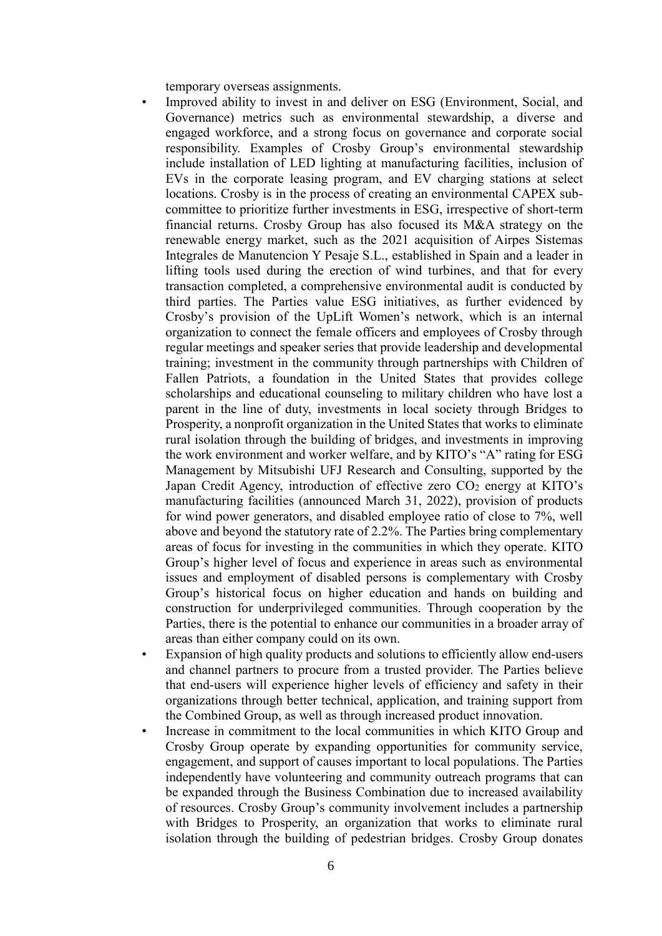temporary overseas assignments.

- Improved ability to invest in and deliver on ESG (Environment, Social, and Governance) metrics such as environmental stewardship, a diverse and engaged workforce, and a strong focus on governance and corporate social responsibility. Examples of Crosby Group's environmental stewardship include installation of LED lighting at manufacturing facilities, inclusion of EVs in the corporate leasing program, and EV charging stations at select locations. Crosby is in the process of creating an environmental CAPEX subcommittee to prioritize further investments in ESG, irrespective of short-term financial returns. Crosby Group has also focused its M&A strategy on the renewable energy market, such as the 2021 acquisition of Airpes Sistemas Integrales de Manutencion Y Pesaje S.L., established in Spain and a leader in lifting tools used during the erection of wind turbines, and that for every transaction completed, a comprehensive environmental audit is conducted by third parties. The Parties value ESG initiatives, as further evidenced by Crosby's provision of the UpLift Women's network, which is an internal organization to connect the female officers and employees of Crosby through regular meetings and speaker series that provide leadership and developmental training; investment in the community through partnerships with Children of Fallen Patriots, a foundation in the United States that provides college scholarships and educational counseling to military children who have lost a parent in the line of duty, investments in local society through Bridges to Prosperity, a nonprofit organization in the United States that works to eliminate rural isolation through the building of bridges, and investments in improving the work environment and worker welfare, and by KITO's "A" rating for ESG Management by Mitsubishi UFJ Research and Consulting, supported by the Japan Credit Agency, introduction of effective zero  $CO<sub>2</sub>$  energy at KITO's manufacturing facilities (announced March 31, 2022), provision of products for wind power generators, and disabled employee ratio of close to 7%, well above and beyond the statutory rate of 2.2%. The Parties bring complementary areas of focus for investing in the communities in which they operate. KITO Group's higher level of focus and experience in areas such as environmental issues and employment of disabled persons is complementary with Crosby Group's historical focus on higher education and hands on building and construction for underprivileged communities. Through cooperation by the Parties, there is the potential to enhance our communities in a broader array of areas than either company could on its own.
- Expansion of high quality products and solutions to efficiently allow end-users and channel partners to procure from a trusted provider. The Parties believe that end-users will experience higher levels of efficiency and safety in their organizations through better technical, application, and training support from the Combined Group, as well as through increased product innovation.
- Increase in commitment to the local communities in which KITO Group and Crosby Group operate by expanding opportunities for community service, engagement, and support of causes important to local populations. The Parties independently have volunteering and community outreach programs that can be expanded through the Business Combination due to increased availability of resources. Crosby Group's community involvement includes a partnership with Bridges to Prosperity, an organization that works to eliminate rural isolation through the building of pedestrian bridges. Crosby Group donates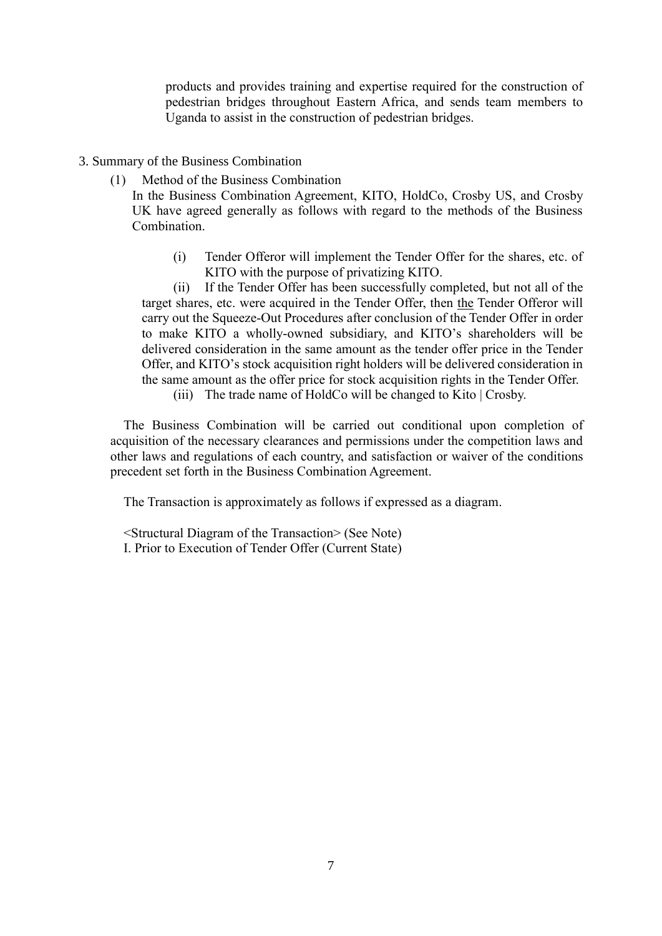products and provides training and expertise required for the construction of pedestrian bridges throughout Eastern Africa, and sends team members to Uganda to assist in the construction of pedestrian bridges.

- 3. Summary of the Business Combination
	- (1) Method of the Business Combination

In the Business Combination Agreement, KITO, HoldCo, Crosby US, and Crosby UK have agreed generally as follows with regard to the methods of the Business Combination.

(i) Tender Offeror will implement the Tender Offer for the shares, etc. of KITO with the purpose of privatizing KITO.

(ii) If the Tender Offer has been successfully completed, but not all of the target shares, etc. were acquired in the Tender Offer, then the Tender Offeror will carry out the Squeeze-Out Procedures after conclusion of the Tender Offer in order to make KITO a wholly-owned subsidiary, and KITO's shareholders will be delivered consideration in the same amount as the tender offer price in the Tender Offer, and KITO's stock acquisition right holders will be delivered consideration in the same amount as the offer price for stock acquisition rights in the Tender Offer.

(iii) The trade name of HoldCo will be changed to Kito | Crosby.

The Business Combination will be carried out conditional upon completion of acquisition of the necessary clearances and permissions under the competition laws and other laws and regulations of each country, and satisfaction or waiver of the conditions precedent set forth in the Business Combination Agreement.

The Transaction is approximately as follows if expressed as a diagram.

<Structural Diagram of the Transaction> (See Note) I. Prior to Execution of Tender Offer (Current State)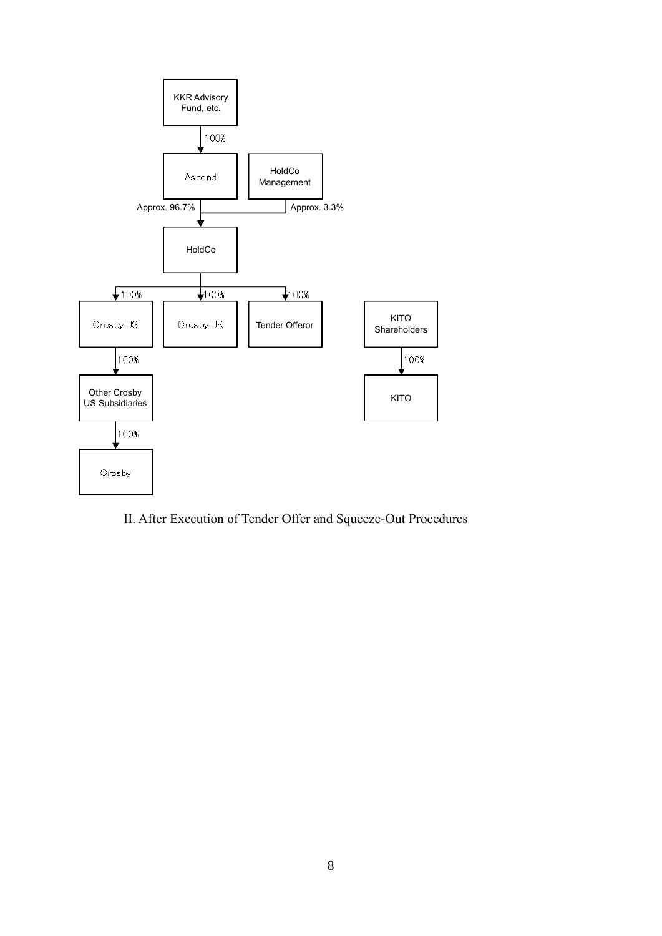

II. After Execution of Tender Offer and Squeeze-Out Procedures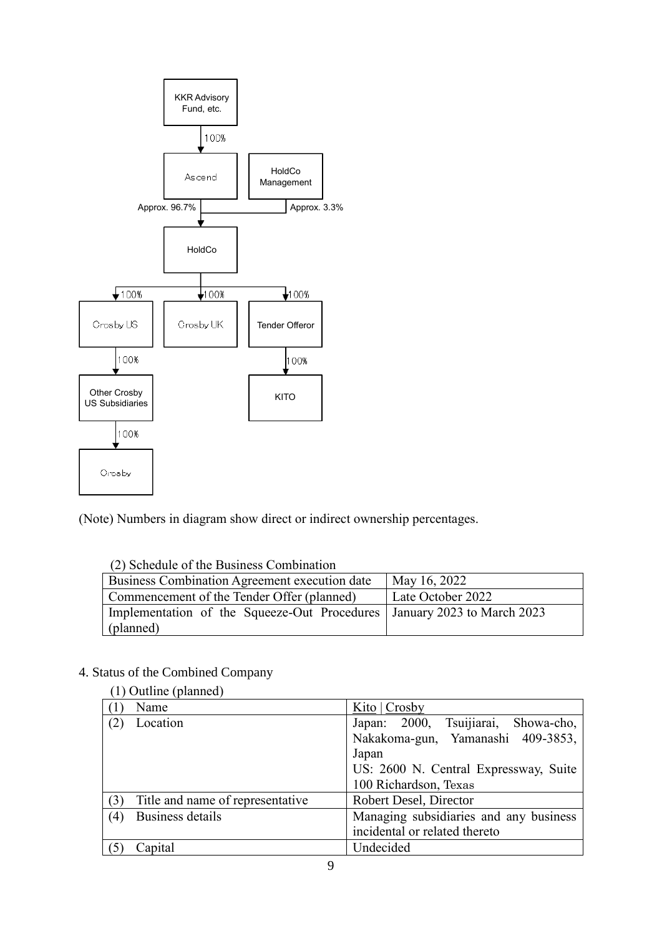

(Note) Numbers in diagram show direct or indirect ownership percentages.

| $(2)$ deneagle of the Dashless Compilation (                              |                   |  |  |
|---------------------------------------------------------------------------|-------------------|--|--|
| Business Combination Agreement execution date                             | May 16, 2022      |  |  |
| Commencement of the Tender Offer (planned)                                | Late October 2022 |  |  |
| Implementation of the Squeeze-Out Procedures   January 2023 to March 2023 |                   |  |  |
| (planned)                                                                 |                   |  |  |

## (2) Schedule of the Business Combination

## 4. Status of the Combined Company

|     | (1) Outline (planned)            |                                            |
|-----|----------------------------------|--------------------------------------------|
|     | Name                             | Kito $ {\rm Crosby}$                       |
| (2) | Location                         | Japan: 2000, Tsuijiarai, Showa-cho,        |
|     |                                  | Nakakoma-gun, Yamanashi 409-3853,<br>Japan |
|     |                                  | US: 2600 N. Central Expressway, Suite      |
|     |                                  | 100 Richardson, Texas                      |
| (3) | Title and name of representative | Robert Desel, Director                     |
| (4) | Business details                 | Managing subsidiaries and any business     |
|     |                                  | incidental or related thereto              |
|     | Capital                          | Undecided                                  |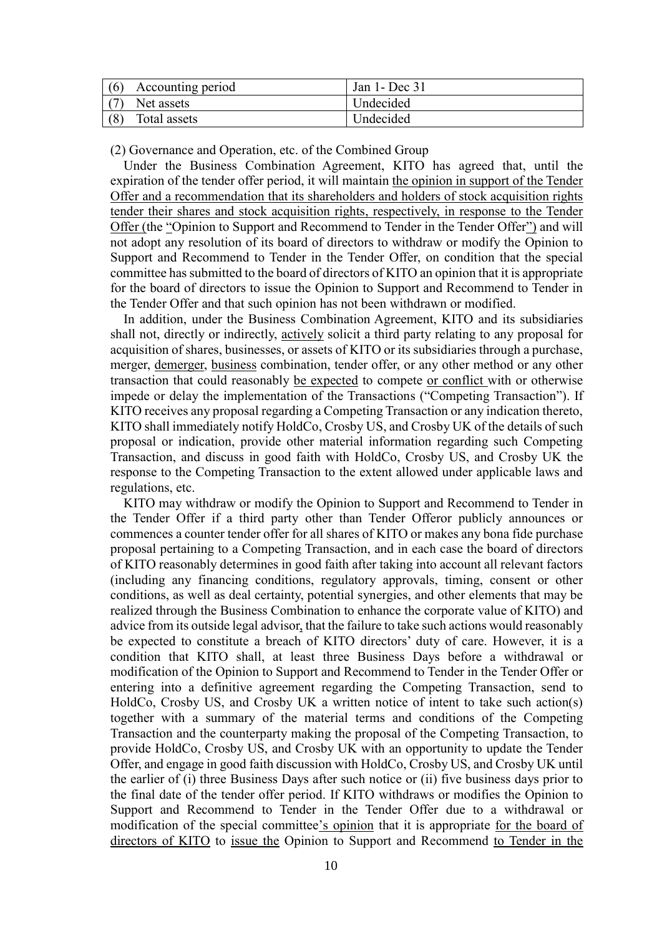| (6) | Accounting period | Jan 1- Dec 31 |
|-----|-------------------|---------------|
| (7) | Net assets        | Undecided     |
|     | Total assets      | Undecided     |

(2) Governance and Operation, etc. of the Combined Group

Under the Business Combination Agreement, KITO has agreed that, until the expiration of the tender offer period, it will maintain the opinion in support of the Tender Offer and a recommendation that its shareholders and holders of stock acquisition rights tender their shares and stock acquisition rights, respectively, in response to the Tender Offer (the "Opinion to Support and Recommend to Tender in the Tender Offer") and will not adopt any resolution of its board of directors to withdraw or modify the Opinion to Support and Recommend to Tender in the Tender Offer, on condition that the special committee has submitted to the board of directors of KITO an opinion that it is appropriate for the board of directors to issue the Opinion to Support and Recommend to Tender in the Tender Offer and that such opinion has not been withdrawn or modified.

In addition, under the Business Combination Agreement, KITO and its subsidiaries shall not, directly or indirectly, actively solicit a third party relating to any proposal for acquisition of shares, businesses, or assets of KITO or its subsidiaries through a purchase, merger, demerger, business combination, tender offer, or any other method or any other transaction that could reasonably be expected to compete or conflict with or otherwise impede or delay the implementation of the Transactions ("Competing Transaction"). If KITO receives any proposal regarding a Competing Transaction or any indication thereto, KITO shall immediately notify HoldCo, Crosby US, and Crosby UK of the details of such proposal or indication, provide other material information regarding such Competing Transaction, and discuss in good faith with HoldCo, Crosby US, and Crosby UK the response to the Competing Transaction to the extent allowed under applicable laws and regulations, etc.

KITO may withdraw or modify the Opinion to Support and Recommend to Tender in the Tender Offer if a third party other than Tender Offeror publicly announces or commences a counter tender offer for all shares of KITO or makes any bona fide purchase proposal pertaining to a Competing Transaction, and in each case the board of directors of KITO reasonably determines in good faith after taking into account all relevant factors (including any financing conditions, regulatory approvals, timing, consent or other conditions, as well as deal certainty, potential synergies, and other elements that may be realized through the Business Combination to enhance the corporate value of KITO) and advice from its outside legal advisor, that the failure to take such actions would reasonably be expected to constitute a breach of KITO directors' duty of care. However, it is a condition that KITO shall, at least three Business Days before a withdrawal or modification of the Opinion to Support and Recommend to Tender in the Tender Offer or entering into a definitive agreement regarding the Competing Transaction, send to HoldCo, Crosby US, and Crosby UK a written notice of intent to take such action(s) together with a summary of the material terms and conditions of the Competing Transaction and the counterparty making the proposal of the Competing Transaction, to provide HoldCo, Crosby US, and Crosby UK with an opportunity to update the Tender Offer, and engage in good faith discussion with HoldCo, Crosby US, and Crosby UK until the earlier of (i) three Business Days after such notice or (ii) five business days prior to the final date of the tender offer period. If KITO withdraws or modifies the Opinion to Support and Recommend to Tender in the Tender Offer due to a withdrawal or modification of the special committee's opinion that it is appropriate for the board of directors of KITO to issue the Opinion to Support and Recommend to Tender in the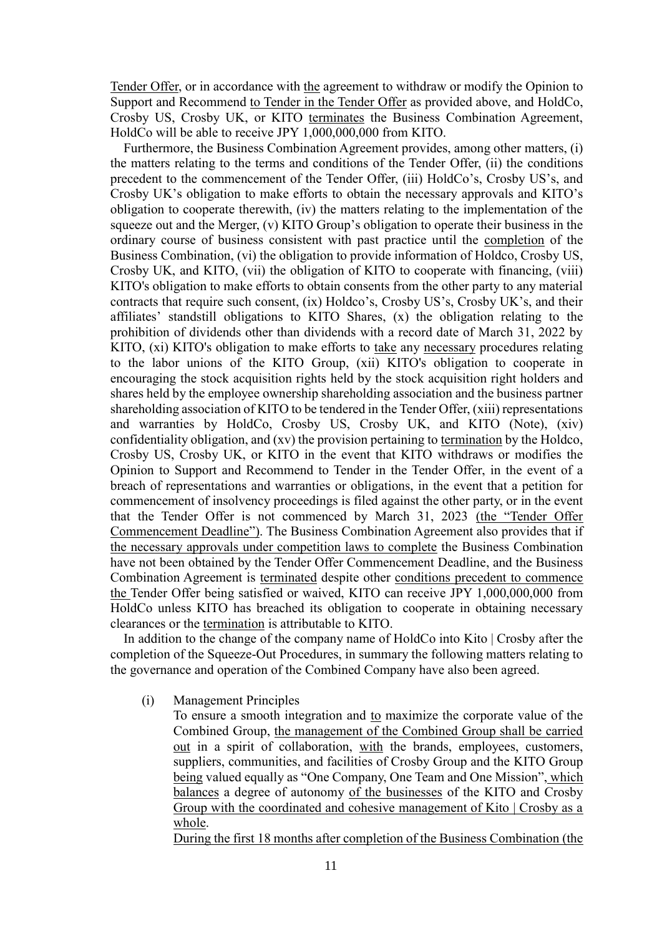Tender Offer, or in accordance with the agreement to withdraw or modify the Opinion to Support and Recommend to Tender in the Tender Offer as provided above, and HoldCo, Crosby US, Crosby UK, or KITO terminates the Business Combination Agreement, HoldCo will be able to receive JPY 1,000,000,000 from KITO.

Furthermore, the Business Combination Agreement provides, among other matters, (i) the matters relating to the terms and conditions of the Tender Offer, (ii) the conditions precedent to the commencement of the Tender Offer, (iii) HoldCo's, Crosby US's, and Crosby UK's obligation to make efforts to obtain the necessary approvals and KITO's obligation to cooperate therewith, (iv) the matters relating to the implementation of the squeeze out and the Merger, (v) KITO Group's obligation to operate their business in the ordinary course of business consistent with past practice until the completion of the Business Combination, (vi) the obligation to provide information of Holdco, Crosby US, Crosby UK, and KITO, (vii) the obligation of KITO to cooperate with financing, (viii) KITO's obligation to make efforts to obtain consents from the other party to any material contracts that require such consent, (ix) Holdco's, Crosby US's, Crosby UK's, and their affiliates' standstill obligations to KITO Shares, (x) the obligation relating to the prohibition of dividends other than dividends with a record date of March 31, 2022 by KITO, (xi) KITO's obligation to make efforts to take any necessary procedures relating to the labor unions of the KITO Group, (xii) KITO's obligation to cooperate in encouraging the stock acquisition rights held by the stock acquisition right holders and shares held by the employee ownership shareholding association and the business partner shareholding association of KITO to be tendered in the Tender Offer, (xiii) representations and warranties by HoldCo, Crosby US, Crosby UK, and KITO (Note), (xiv) confidentiality obligation, and (xv) the provision pertaining to termination by the Holdco, Crosby US, Crosby UK, or KITO in the event that KITO withdraws or modifies the Opinion to Support and Recommend to Tender in the Tender Offer, in the event of a breach of representations and warranties or obligations, in the event that a petition for commencement of insolvency proceedings is filed against the other party, or in the event that the Tender Offer is not commenced by March 31, 2023 (the "Tender Offer Commencement Deadline"). The Business Combination Agreement also provides that if the necessary approvals under competition laws to complete the Business Combination have not been obtained by the Tender Offer Commencement Deadline, and the Business Combination Agreement is terminated despite other conditions precedent to commence the Tender Offer being satisfied or waived, KITO can receive JPY 1,000,000,000 from HoldCo unless KITO has breached its obligation to cooperate in obtaining necessary clearances or the termination is attributable to KITO.

In addition to the change of the company name of HoldCo into Kito | Crosby after the completion of the Squeeze-Out Procedures, in summary the following matters relating to the governance and operation of the Combined Company have also been agreed.

(i) Management Principles

To ensure a smooth integration and to maximize the corporate value of the Combined Group, the management of the Combined Group shall be carried out in a spirit of collaboration, with the brands, employees, customers, suppliers, communities, and facilities of Crosby Group and the KITO Group being valued equally as "One Company, One Team and One Mission", which balances a degree of autonomy of the businesses of the KITO and Crosby Group with the coordinated and cohesive management of Kito | Crosby as a whole.

During the first 18 months after completion of the Business Combination (the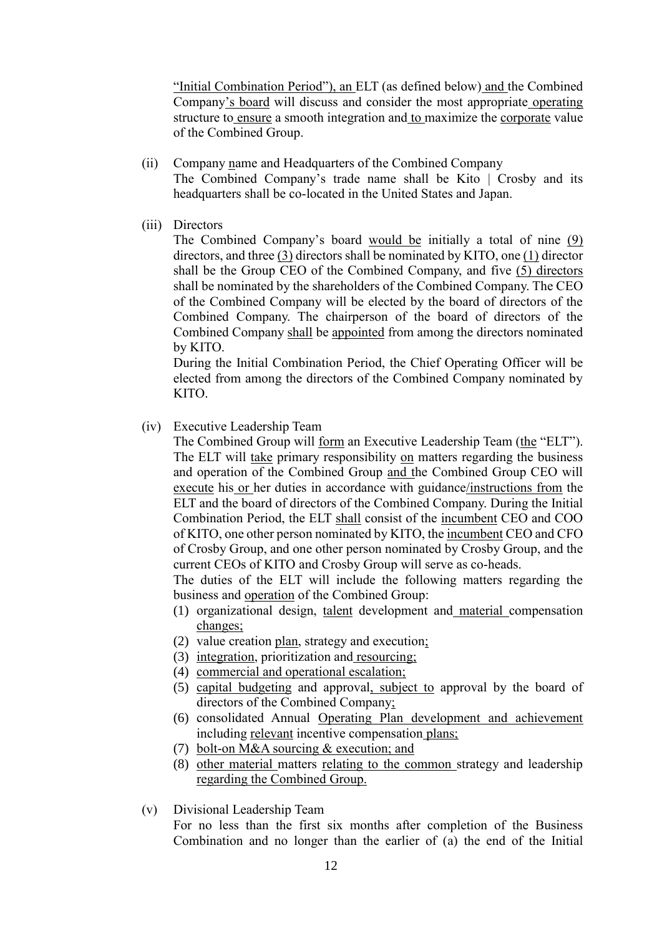"Initial Combination Period"), an ELT (as defined below) and the Combined Company's board will discuss and consider the most appropriate operating structure to ensure a smooth integration and to maximize the corporate value of the Combined Group.

- (ii) Company name and Headquarters of the Combined Company The Combined Company's trade name shall be Kito | Crosby and its headquarters shall be co-located in the United States and Japan.
- (iii) Directors

The Combined Company's board would be initially a total of nine (9) directors, and three (3) directors shall be nominated by KITO, one (1) director shall be the Group CEO of the Combined Company, and five (5) directors shall be nominated by the shareholders of the Combined Company. The CEO of the Combined Company will be elected by the board of directors of the Combined Company. The chairperson of the board of directors of the Combined Company shall be appointed from among the directors nominated by KITO.

During the Initial Combination Period, the Chief Operating Officer will be elected from among the directors of the Combined Company nominated by KITO.

(iv) Executive Leadership Team

The Combined Group will form an Executive Leadership Team (the "ELT"). The ELT will take primary responsibility on matters regarding the business and operation of the Combined Group and the Combined Group CEO will execute his or her duties in accordance with guidance/instructions from the ELT and the board of directors of the Combined Company. During the Initial Combination Period, the ELT shall consist of the incumbent CEO and COO of KITO, one other person nominated by KITO, the incumbent CEO and CFO of Crosby Group, and one other person nominated by Crosby Group, and the current CEOs of KITO and Crosby Group will serve as co-heads.

The duties of the ELT will include the following matters regarding the business and operation of the Combined Group:

- (1) organizational design, talent development and material compensation changes;
- (2) value creation plan, strategy and execution;
- (3) integration, prioritization and resourcing;
- (4) commercial and operational escalation;
- (5) capital budgeting and approval, subject to approval by the board of directors of the Combined Company;
- (6) consolidated Annual Operating Plan development and achievement including relevant incentive compensation plans;
- (7) bolt-on M&A sourcing & execution; and
- (8) other material matters relating to the common strategy and leadership regarding the Combined Group.
- (v) Divisional Leadership Team

For no less than the first six months after completion of the Business Combination and no longer than the earlier of (a) the end of the Initial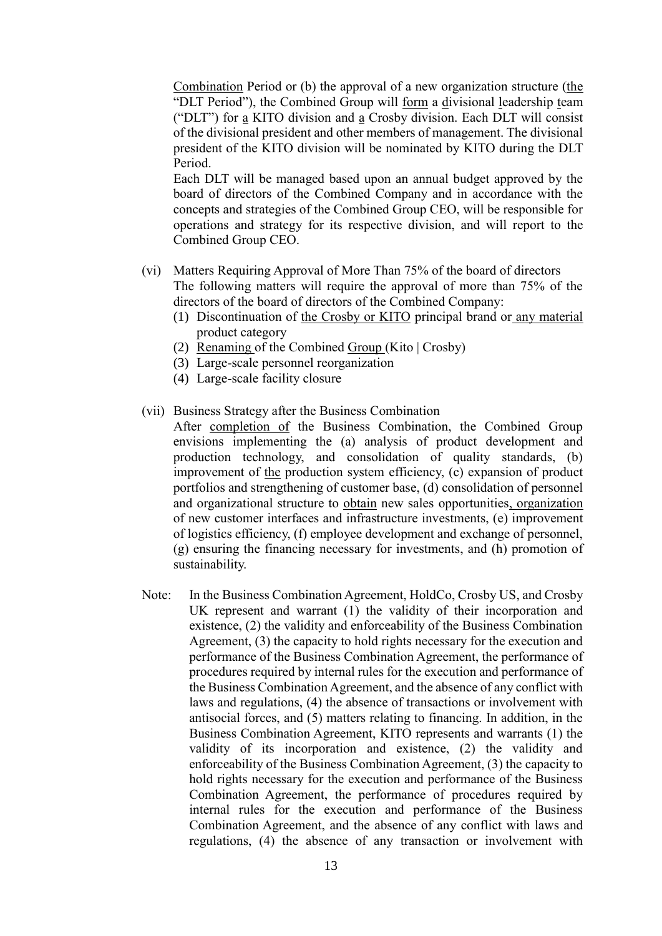Combination Period or (b) the approval of a new organization structure (the "DLT Period"), the Combined Group will form a divisional leadership team ("DLT") for a KITO division and a Crosby division. Each DLT will consist of the divisional president and other members of management. The divisional president of the KITO division will be nominated by KITO during the DLT Period.

Each DLT will be managed based upon an annual budget approved by the board of directors of the Combined Company and in accordance with the concepts and strategies of the Combined Group CEO, will be responsible for operations and strategy for its respective division, and will report to the Combined Group CEO.

- (vi) Matters Requiring Approval of More Than 75% of the board of directors The following matters will require the approval of more than 75% of the directors of the board of directors of the Combined Company:
	- (1) Discontinuation of the Crosby or KITO principal brand or any material product category
	- (2) Renaming of the Combined Group (Kito | Crosby)
	- (3) Large-scale personnel reorganization
	- (4) Large-scale facility closure
- (vii) Business Strategy after the Business Combination
	- After completion of the Business Combination, the Combined Group envisions implementing the (a) analysis of product development and production technology, and consolidation of quality standards, (b) improvement of the production system efficiency, (c) expansion of product portfolios and strengthening of customer base, (d) consolidation of personnel and organizational structure to obtain new sales opportunities, organization of new customer interfaces and infrastructure investments, (e) improvement of logistics efficiency, (f) employee development and exchange of personnel, (g) ensuring the financing necessary for investments, and (h) promotion of sustainability.
- Note: In the Business Combination Agreement, HoldCo, Crosby US, and Crosby UK represent and warrant (1) the validity of their incorporation and existence, (2) the validity and enforceability of the Business Combination Agreement, (3) the capacity to hold rights necessary for the execution and performance of the Business Combination Agreement, the performance of procedures required by internal rules for the execution and performance of the Business Combination Agreement, and the absence of any conflict with laws and regulations, (4) the absence of transactions or involvement with antisocial forces, and (5) matters relating to financing. In addition, in the Business Combination Agreement, KITO represents and warrants (1) the validity of its incorporation and existence, (2) the validity and enforceability of the Business Combination Agreement, (3) the capacity to hold rights necessary for the execution and performance of the Business Combination Agreement, the performance of procedures required by internal rules for the execution and performance of the Business Combination Agreement, and the absence of any conflict with laws and regulations, (4) the absence of any transaction or involvement with